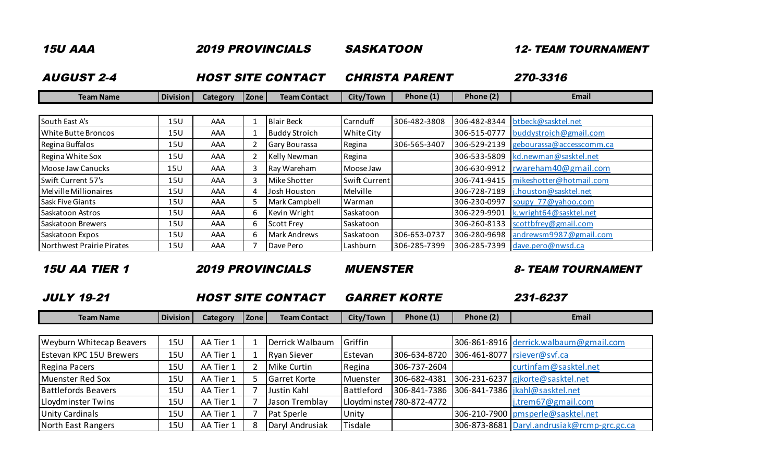| <b>15U AAA</b>            |                 |                 |                | <b>2019 PROVINCIALS</b>  | <b>SASKATOON</b>      |              | <b>12- TEAM TOURNAMENT</b> |                          |  |
|---------------------------|-----------------|-----------------|----------------|--------------------------|-----------------------|--------------|----------------------------|--------------------------|--|
| <b>AUGUST 2-4</b>         |                 |                 |                | <b>HOST SITE CONTACT</b> | <b>CHRISTA PARENT</b> |              |                            | 270-3316                 |  |
| <b>Team Name</b>          | <b>Division</b> | <b>Category</b> | Zone           | <b>Team Contact</b>      | City/Town             | Phone $(1)$  | Phone (2)                  | Email                    |  |
|                           |                 |                 |                |                          |                       |              |                            |                          |  |
| South East A's            | 15U             | AAA             |                | <b>Blair Beck</b>        | Carnduff              | 306-482-3808 | 306-482-8344               | btbeck@sasktel.net       |  |
| White Butte Broncos       | 15U             | AAA             | -1             | <b>Buddy Stroich</b>     | White City            |              | 306-515-0777               | buddystroich@gmail.com   |  |
| Regina Buffalos           | 15U             | AAA             | $\overline{2}$ | <b>Gary Bourassa</b>     | Regina                | 306-565-3407 | 306-529-2139               | gebourassa@accesscomm.ca |  |
| Regina White Sox          | 15U             | AAA             | $\overline{2}$ | <b>Kelly Newman</b>      | Regina                |              | 306-533-5809               | kd.newman@sasktel.net    |  |
| Moose Jaw Canucks         | 15U             | AAA             | 3              | Ray Wareham              | Moose Jaw             |              | 306-630-9912               | rwareham40@gmail.com     |  |
| Swift Current 57's        | 15U             | AAA             | 3              | Mike Shotter             | Swift Current         |              | 306-741-9415               | mikeshotter@hotmail.com  |  |
| Melville Millionaires     | 15U             | AAA             | 4              | Josh Houston             | Melville              |              | 306-728-7189               | j.houston@sasktel.net    |  |
| <b>Sask Five Giants</b>   | 15U             | AAA             | 5              | Mark Campbell            | Warman                |              | 306-230-0997               | soupy 77@yahoo.com       |  |
| Saskatoon Astros          | 15U             | AAA             | 6              | Kevin Wright             | Saskatoon             |              | 306-229-9901               | k.wright64@sasktel.net   |  |
| Saskatoon Brewers         | 15U             | AAA             | 6              | <b>Scott Frey</b>        | Saskatoon             |              | 306-260-8133               | scottbfrey@gmail.com     |  |
| Saskatoon Expos           | 15U             | AAA             | 6              | Mark Andrews             | Saskatoon             | 306-653-0737 | 306-280-9698               | andrewsm9987@gmail.com   |  |
| Northwest Prairie Pirates | 15U             | AAA             | $\overline{7}$ | Dave Pero                | Lashburn              | 306-285-7399 | 306-285-7399               | dave.pero@nwsd.ca        |  |

15U AA TIER 1 2019 PROVINCIALS MUENSTER 8- TEAM TOURNAMENT

JULY 19-21 GARRET KORTE 231-6237 HOST SITE CONTACT

| Team Name | <b>Division</b> | ategory | <b>Zone</b> | Contac'<br>Team L | City/Town | Phone (1 | Phone (2 | Email |
|-----------|-----------------|---------|-------------|-------------------|-----------|----------|----------|-------|
|           |                 |         |             |                   |           |          |          |       |

| <b>Weyburn Whitecap Beavers</b> | 15U        | AA Tier 1 | Derrick Walbaum     | Griffin    |                           | 306-861-8916 derrick.walbaum@gmail.com        |
|---------------------------------|------------|-----------|---------------------|------------|---------------------------|-----------------------------------------------|
| <b>Estevan KPC 15U Brewers</b>  | 15U        | AA Tier 1 | Ryan Siever         | Estevan    | 306-634-8720              | 306-461-8077   rsiever@svf.ca                 |
| Regina Pacers                   | <b>15U</b> | AA Tier 1 | Mike Curtin         | Regina     | 306-737-2604              | curtinfam@sasktel.net                         |
| Muenster Red Sox                | <b>15U</b> | AA Tier 1 | <b>Garret Korte</b> | Muenster   | 306-682-4381              | 306-231-6237 gikorte@sasktel.net              |
| <b>Battlefords Beavers</b>      | <b>15U</b> | AA Tier 1 | Justin Kahl         | Battleford |                           | 306-841-7386 306-841-7386   jkahl@sasktel.net |
| Lloydminster Twins              | <b>15U</b> | AA Tier 1 | Jason Tremblay      |            | Lloydminster 780-872-4772 | j.trem67@gmail.com                            |
| <b>Unity Cardinals</b>          | <b>15U</b> | AA Tier 1 | Pat Sperle          | Unity      |                           | 306-210-7900   pmsperle@sasktel.net           |
| North East Rangers              | <b>15U</b> | AA Tier 1 | Daryl Andrusiak     | Tisdale    |                           | 306-873-8681 Daryl.andrusiak@rcmp-grc.gc.ca   |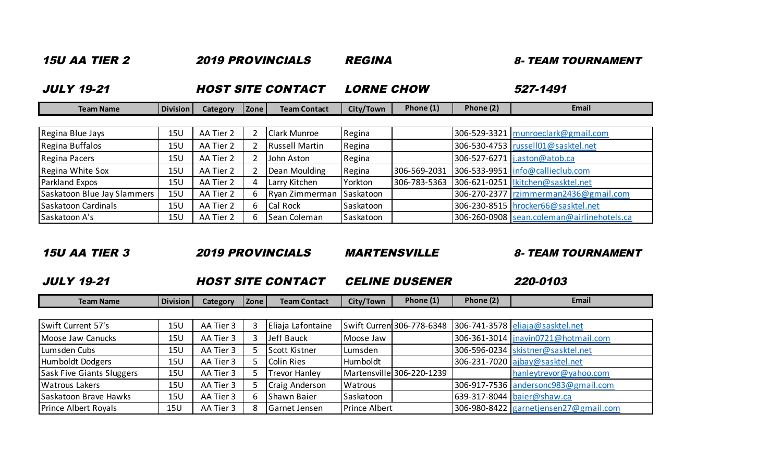| <i><b>15U AA TIER 2</b></i><br><b>JULY 19-21</b> |                 |           |                | <i><b>2019 PROVINCIALS</b></i> | <i><b>REGINA</b></i> |              |           | <b>8- TEAM TOURNAMENT</b>                  |  |
|--------------------------------------------------|-----------------|-----------|----------------|--------------------------------|----------------------|--------------|-----------|--------------------------------------------|--|
|                                                  |                 |           |                | <b>HOST SITE CONTACT</b>       | <b>LORNE CHOW</b>    |              |           | 527-1491                                   |  |
| <b>Team Name</b>                                 | <b>Division</b> | Category  | Zone           | <b>Team Contact</b>            | City/Town            | Phone (1)    | Phone (2) | Email                                      |  |
|                                                  |                 |           |                |                                |                      |              |           |                                            |  |
| Regina Blue Jays                                 | 15U             | AA Tier 2 | $\overline{2}$ | <b>Clark Munroe</b>            | Regina               |              |           | 306-529-3321   munroeclark@gmail.com       |  |
| Regina Buffalos                                  | 15U             | AA Tier 2 | $\overline{2}$ | <b>Russell Martin</b>          | Regina               |              |           | 306-530-4753   russel 01@sasktel.net       |  |
| Regina Pacers                                    | 15U             | AA Tier 2 | $\overline{2}$ | John Aston                     | Regina               |              |           | 306-527-6271 j.aston@atob.ca               |  |
| Regina White Sox                                 | 15U             | AA Tier 2 | $\overline{2}$ | Dean Moulding                  | Regina               | 306-569-2031 |           | 306-533-9951   info@callieclub.com         |  |
| Parkland Expos                                   | 15 <sub>U</sub> | AA Tier 2 | 4              | Larry Kitchen                  | Yorkton              | 306-783-5363 |           | 306-621-0251   kitchen@sasktel.net         |  |
| Saskatoon Blue Jay Slammers                      | 15U             | AA Tier 2 | 6              | Ryan Zimmerman                 | Saskatoon            |              |           | 306-270-2377   rzimmerman2436@gmail.com    |  |
| Saskatoon Cardinals                              | 15U             | AA Tier 2 | 6              | Cal Rock                       | Saskatoon            |              |           | 306-230-8515   hrocker66@sasktel.net       |  |
| Saskatoon A's                                    | <b>15U</b>      | AA Tier 2 | 6              | Sean Coleman                   | Saskatoon            |              |           | 306-260-0908 sean.coleman@airlinehotels.ca |  |

## 15U AA TIER 3 2019 PROVINCIALS MARTENSVILLE 8- TEAM TOURNAMENT

JULY 19-21 CELINE DUSENER 220-0103 HOST SITE CONTACT

| <b>Team Name</b>                 | <b>Division</b> | Category  | Zone | <b>Team Contact</b>  | City/Town     | Phone (1)                 | Phone (2) | Email                                 |
|----------------------------------|-----------------|-----------|------|----------------------|---------------|---------------------------|-----------|---------------------------------------|
|                                  |                 |           |      |                      |               |                           |           |                                       |
| Swift Current 57's               | <b>15U</b>      | AA Tier 3 |      | Eliaja Lafontaine    |               | Swift Curren 306-778-6348 |           | $306 - 741 - 3578$ eliaja@sasktel.net |
| Moose Jaw Canucks                | <b>15U</b>      | AA Tier 3 |      | Jeff Bauck           | Moose Jaw     |                           |           | 306-361-3014   jnavin0721@hotmail.com |
| Lumsden Cubs                     | 15U             | AA Tier 3 |      | Scott Kistner        | Lumsden       |                           |           | 306-596-0234 skistner@sasktel.net     |
| Humboldt Dodgers                 | <b>15U</b>      | AA Tier 3 |      | <b>Colin Ries</b>    | Humboldt      |                           |           | 306-231-7020 ajbay@sasktel.net        |
| <b>Sask Five Giants Sluggers</b> | <b>15U</b>      | AA Tier 3 |      | Trevor Hanley        |               | Martensville 306-220-1239 |           | hanleytrevor@yahoo.com                |
| <b>Watrous Lakers</b>            | 15U             | AA Tier 3 |      | Craig Anderson       | Watrous       |                           |           | 306-917-7536 andersonc983@gmail.com   |
| Saskatoon Brave Hawks            | <b>15U</b>      | AA Tier 3 | h    | Shawn Baier          | Saskatoon     |                           |           | 639-317-8044   baier@shaw.ca          |
| <b>Prince Albert Royals</b>      | <b>15U</b>      | AA Tier 3 | 8    | <b>Garnet Jensen</b> | Prince Albert |                           |           | 306-980-8422 garnetjensen27@gmail.com |